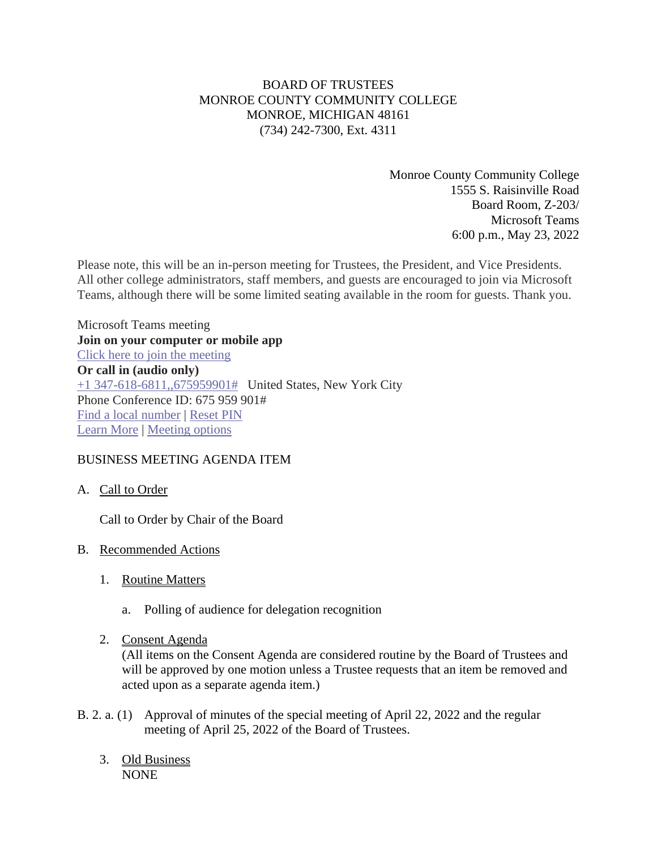# BOARD OF TRUSTEES MONROE COUNTY COMMUNITY COLLEGE MONROE, MICHIGAN 48161 (734) 242-7300, Ext. 4311

Monroe County Community College 1555 S. Raisinville Road Board Room, Z-203/ Microsoft Teams 6:00 p.m., May 23, 2022

Please note, this will be an in-person meeting for Trustees, the President, and Vice Presidents. All other college administrators, staff members, and guests are encouraged to join via Microsoft Teams, although there will be some limited seating available in the room for guests. Thank you.

Microsoft Teams meeting **Join on your computer or mobile app** Click here to join the [meeting](https://teams.microsoft.com/l/meetup-join/19%3ameeting_M2Y3ZGYzMGYtMDlhYy00YjM1LWJlNTAtNDIzZDdkNDJkNjBi%40thread.v2/0?context=%7b%22Tid%22%3a%2276f58c37-4ccb-4953-8754-48d3ac2857e6%22%2c%22Oid%22%3a%22cfa62792-2f83-486c-8009-c76a92253031%22%7d) **Or call in (audio only)** +1 [347-618-6811,,675959901#](tel:/+13476186811,,675959901%23) United States, New York City Phone Conference ID: 675 959 901# Find a local [number](https://dialin.teams.microsoft.com/0a5b3283-82d4-44a2-a3da-3e0ac96718dd?id=675959901) | [Reset](https://mysettings.lync.com/pstnconferencing) PIN [Learn](https://aka.ms/JoinTeamsMeeting) More | [Meeting](https://teams.microsoft.com/meetingOptions/?organizerId=cfa62792-2f83-486c-8009-c76a92253031&tenantId=76f58c37-4ccb-4953-8754-48d3ac2857e6&threadId=19_meeting_M2Y3ZGYzMGYtMDlhYy00YjM1LWJlNTAtNDIzZDdkNDJkNjBi@thread.v2&messageId=0&language=en-US) options

## BUSINESS MEETING AGENDA ITEM

#### A. Call to Order

Call to Order by Chair of the Board

#### B. Recommended Actions

- 1. Routine Matters
	- a. Polling of audience for delegation recognition
- 2. Consent Agenda

(All items on the Consent Agenda are considered routine by the Board of Trustees and will be approved by one motion unless a Trustee requests that an item be removed and acted upon as a separate agenda item.)

- B. 2. a. (1) Approval of minutes of the special meeting of April 22, 2022 and the regular meeting of April 25, 2022 of the Board of Trustees.
	- 3. Old Business NONE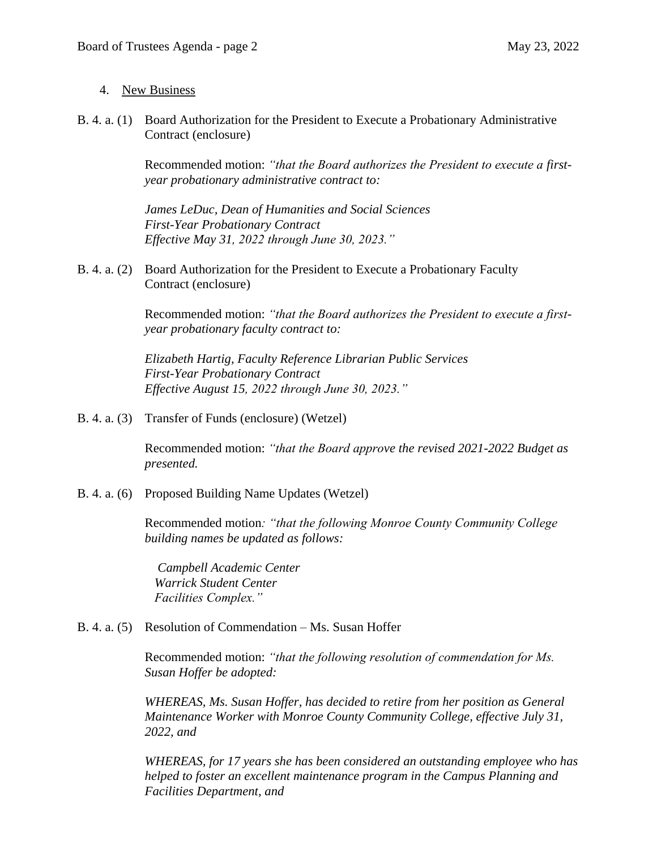### 4. New Business

B. 4. a. (1) Board Authorization for the President to Execute a Probationary Administrative Contract (enclosure)

> Recommended motion: *"that the Board authorizes the President to execute a firstyear probationary administrative contract to:*

*James LeDuc, Dean of Humanities and Social Sciences First-Year Probationary Contract Effective May 31, 2022 through June 30, 2023."*

B. 4. a. (2) Board Authorization for the President to Execute a Probationary Faculty Contract (enclosure)

> Recommended motion: *"that the Board authorizes the President to execute a firstyear probationary faculty contract to:*

*Elizabeth Hartig, Faculty Reference Librarian Public Services First-Year Probationary Contract Effective August 15, 2022 through June 30, 2023."*

B. 4. a. (3) Transfer of Funds (enclosure) (Wetzel)

Recommended motion: *"that the Board approve the revised 2021-2022 Budget as presented.* 

B. 4. a. (6) Proposed Building Name Updates (Wetzel)

Recommended motion*: "that the following Monroe County Community College building names be updated as follows:* 

*Campbell Academic Center Warrick Student Center Facilities Complex."*

#### B. 4. a. (5) Resolution of Commendation – Ms. Susan Hoffer

Recommended motion: *"that the following resolution of commendation for Ms. Susan Hoffer be adopted:*

*WHEREAS, Ms. Susan Hoffer, has decided to retire from her position as General Maintenance Worker with Monroe County Community College, effective July 31, 2022, and*

*WHEREAS, for 17 years she has been considered an outstanding employee who has helped to foster an excellent maintenance program in the Campus Planning and Facilities Department, and*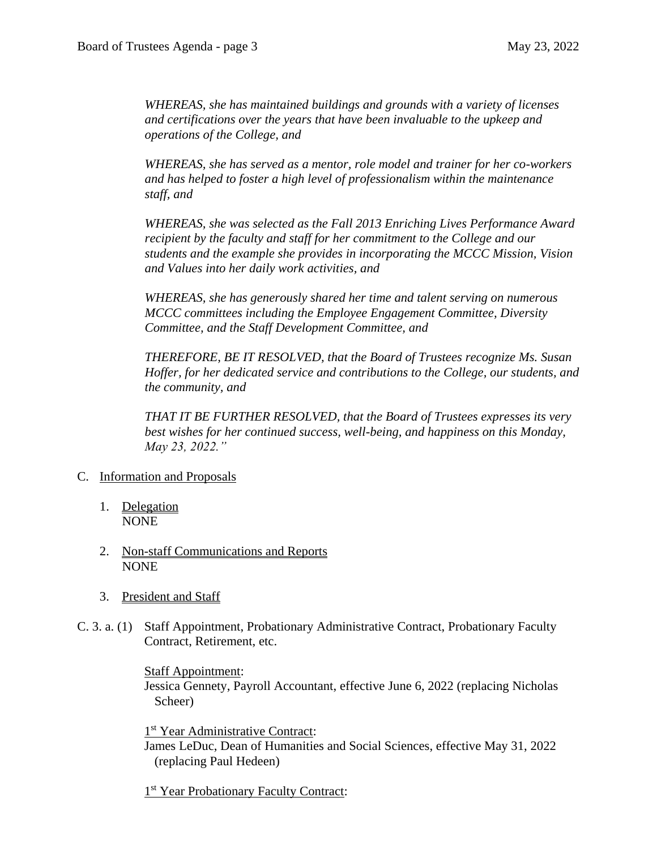*WHEREAS, she has maintained buildings and grounds with a variety of licenses and certifications over the years that have been invaluable to the upkeep and operations of the College, and*

*WHEREAS, she has served as a mentor, role model and trainer for her co-workers and has helped to foster a high level of professionalism within the maintenance staff, and*

*WHEREAS, she was selected as the Fall 2013 Enriching Lives Performance Award recipient by the faculty and staff for her commitment to the College and our students and the example she provides in incorporating the MCCC Mission, Vision and Values into her daily work activities, and*

*WHEREAS, she has generously shared her time and talent serving on numerous MCCC committees including the Employee Engagement Committee, Diversity Committee, and the Staff Development Committee, and*

*THEREFORE, BE IT RESOLVED, that the Board of Trustees recognize Ms. Susan Hoffer, for her dedicated service and contributions to the College, our students, and the community, and* 

*THAT IT BE FURTHER RESOLVED, that the Board of Trustees expresses its very best wishes for her continued success, well-being, and happiness on this Monday, May 23, 2022."*

- C. Information and Proposals
	- 1. Delegation NONE
	- 2. Non-staff Communications and Reports NONE
	- 3. President and Staff
- C. 3. a. (1) Staff Appointment, Probationary Administrative Contract, Probationary Faculty Contract, Retirement, etc.

Staff Appointment:

Jessica Gennety, Payroll Accountant, effective June 6, 2022 (replacing Nicholas Scheer)

1<sup>st</sup> Year Administrative Contract: James LeDuc, Dean of Humanities and Social Sciences, effective May 31, 2022 (replacing Paul Hedeen)

1<sup>st</sup> Year Probationary Faculty Contract: